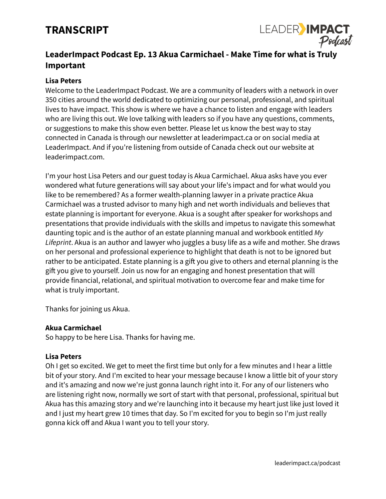# **TRANSCRIPT**



## **LeaderImpact Podcast Ep. 13 Akua Carmichael - Make Time for what is Truly Important**

## **Lisa Peters**

Welcome to the LeaderImpact Podcast. We are a community of leaders with a network in over 350 cities around the world dedicated to optimizing our personal, professional, and spiritual lives to have impact. This show is where we have a chance to listen and engage with leaders who are living this out. We love talking with leaders so if you have any questions, comments, or suggestions to make this show even better. Please let us know the best way to stay connected in Canada is through our newsletter at leaderimpact.ca or on social media at LeaderImpact. And if you're listening from outside of Canada check out our website at leaderimpact.com.

I'm your host Lisa Peters and our guest today is Akua Carmichael. Akua asks have you ever wondered what future generations will say about your life's impact and for what would you like to be remembered? As a former wealth-planning lawyer in a private practice Akua Carmichael was a trusted advisor to many high and net worth individuals and believes that estate planning is important for everyone. Akua is a sought after speaker for workshops and presentations that provide individuals with the skills and impetus to navigate this somewhat daunting topic and is the author of an estate planning manual and workbook entitled *My Lifeprint*. Akua is an author and lawyer who juggles a busy life as a wife and mother. She draws on her personal and professional experience to highlight that death is not to be ignored but rather to be anticipated. Estate planning is a gift you give to others and eternal planning is the gift you give to yourself. Join us now for an engaging and honest presentation that will provide financial, relational, and spiritual motivation to overcome fear and make time for what is truly important.

Thanks for joining us Akua.

#### **Akua Carmichael**

So happy to be here Lisa. Thanks for having me.

#### **Lisa Peters**

Oh I get so excited. We get to meet the first time but only for a few minutes and I hear a little bit of your story. And I'm excited to hear your message because I know a little bit of your story and it's amazing and now we're just gonna launch right into it. For any of our listeners who are listening right now, normally we sort of start with that personal, professional, spiritual but Akua has this amazing story and we're launching into it because my heart just like just loved it and I just my heart grew 10 times that day. So I'm excited for you to begin so I'm just really gonna kick off and Akua I want you to tell your story.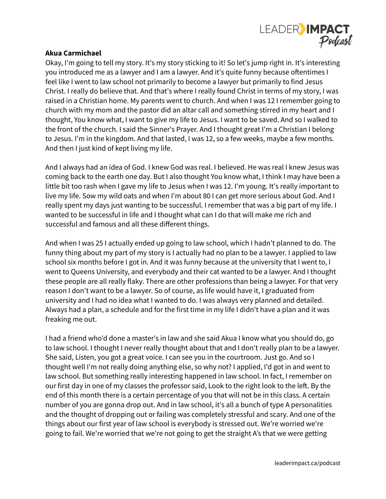

Okay, I'm going to tell my story. It's my story sticking to it! So let's jump right in. It's interesting you introduced me as a lawyer and I am a lawyer. And it's quite funny because oftentimes I feel like I went to law school not primarily to become a lawyer but primarily to find Jesus Christ. I really do believe that. And that's where I really found Christ in terms of my story, I was raised in a Christian home. My parents went to church. And when I was 12 I remember going to church with my mom and the pastor did an altar call and something stirred in my heart and I thought, You know what, I want to give my life to Jesus. I want to be saved. And so I walked to the front of the church. I said the Sinner's Prayer. And I thought great I'm a Christian I belong to Jesus. I'm in the kingdom. And that lasted, I was 12, so a few weeks, maybe a few months. And then I just kind of kept living my life.

And I always had an idea of God. I knew God was real. I believed. He was real I knew Jesus was coming back to the earth one day. But I also thought You know what, I think I may have been a little bit too rash when I gave my life to Jesus when I was 12. I'm young. It's really important to live my life. Sow my wild oats and when I'm about 80 I can get more serious about God. And I really spent my days just wanting to be successful. I remember that was a big part of my life. I wanted to be successful in life and I thought what can I do that will make me rich and successful and famous and all these different things.

And when I was 25 I actually ended up going to law school, which I hadn't planned to do. The funny thing about my part of my story is I actually had no plan to be a lawyer. I applied to law school six months before I got in. And it was funny because at the university that I went to, I went to Queens University, and everybody and their cat wanted to be a lawyer. And I thought these people are all really flaky. There are other professions than being a lawyer. For that very reason I don't want to be a lawyer. So of course, as life would have it, I graduated from university and I had no idea what I wanted to do. I was always very planned and detailed. Always had a plan, a schedule and for the first time in my life I didn't have a plan and it was freaking me out.

I had a friend who'd done a master's in law and she said Akua I know what you should do, go to law school. I thought I never really thought about that and I don't really plan to be a lawyer. She said, Listen, you got a great voice. I can see you in the courtroom. Just go. And so I thought well I'm not really doing anything else, so why not? I applied, I'd got in and went to law school. But something really interesting happened in law school. In fact, I remember on our first day in one of my classes the professor said, Look to the right look to the left. By the end of this month there is a certain percentage of you that will not be in this class. A certain number of you are gonna drop out. And in law school, it's all a bunch of type A personalities and the thought of dropping out or failing was completely stressful and scary. And one of the things about our first year of law school is everybody is stressed out. We're worried we're going to fail. We're worried that we're not going to get the straight A's that we were getting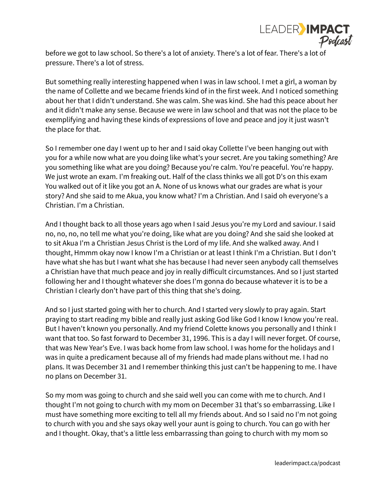

before we got to law school. So there's a lot of anxiety. There's a lot of fear. There's a lot of pressure. There's a lot of stress.

But something really interesting happened when I was in law school. I met a girl, a woman by the name of Collette and we became friends kind of in the first week. And I noticed something about her that I didn't understand. She was calm. She was kind. She had this peace about her and it didn't make any sense. Because we were in law school and that was not the place to be exemplifying and having these kinds of expressions of love and peace and joy it just wasn't the place for that.

So I remember one day I went up to her and I said okay Collette I've been hanging out with you for a while now what are you doing like what's your secret. Are you taking something? Are you something like what are you doing? Because you're calm. You're peaceful. You're happy. We just wrote an exam. I'm freaking out. Half of the class thinks we all got D's on this exam You walked out of it like you got an A. None of us knows what our grades are what is your story? And she said to me Akua, you know what? I'm a Christian. And I said oh everyone's a Christian. I'm a Christian.

And I thought back to all those years ago when I said Jesus you're my Lord and saviour. I said no, no, no, no tell me what you're doing, like what are you doing? And she said she looked at to sit Akua I'm a Christian Jesus Christ is the Lord of my life. And she walked away. And I thought, Hmmm okay now I know I'm a Christian or at least I think I'm a Christian. But I don't have what she has but I want what she has because I had never seen anybody call themselves a Christian have that much peace and joy in really difficult circumstances. And so I just started following her and I thought whatever she does I'm gonna do because whatever it is to be a Christian I clearly don't have part of this thing that she's doing.

And so I just started going with her to church. And I started very slowly to pray again. Start praying to start reading my bible and really just asking God like God I know I know you're real. But I haven't known you personally. And my friend Colette knows you personally and I think I want that too. So fast forward to December 31, 1996. This is a day I will never forget. Of course, that was New Year's Eve. I was back home from law school. I was home for the holidays and I was in quite a predicament because all of my friends had made plans without me. I had no plans. It was December 31 and I remember thinking this just can't be happening to me. I have no plans on December 31.

So my mom was going to church and she said well you can come with me to church. And I thought I'm not going to church with my mom on December 31 that's so embarrassing. Like I must have something more exciting to tell all my friends about. And so I said no I'm not going to church with you and she says okay well your aunt is going to church. You can go with her and I thought. Okay, that's a little less embarrassing than going to church with my mom so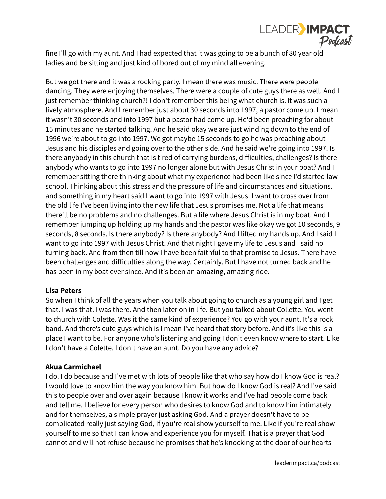

fine I'll go with my aunt. And I had expected that it was going to be a bunch of 80 year old ladies and be sitting and just kind of bored out of my mind all evening.

But we got there and it was a rocking party. I mean there was music. There were people dancing. They were enjoying themselves. There were a couple of cute guys there as well. And I just remember thinking church?! I don't remember this being what church is. It was such a lively atmosphere. And I remember just about 30 seconds into 1997, a pastor come up. I mean it wasn't 30 seconds and into 1997 but a pastor had come up. He'd been preaching for about 15 minutes and he started talking. And he said okay we are just winding down to the end of 1996 we're about to go into 1997. We got maybe 15 seconds to go he was preaching about Jesus and his disciples and going over to the other side. And he said we're going into 1997. Is there anybody in this church that is tired of carrying burdens, difficulties, challenges? Is there anybody who wants to go into 1997 no longer alone but with Jesus Christ in your boat? And I remember sitting there thinking about what my experience had been like since I'd started law school. Thinking about this stress and the pressure of life and circumstances and situations. and something in my heart said I want to go into 1997 with Jesus. I want to cross over from the old life I've been living into the new life that Jesus promises me. Not a life that means there'll be no problems and no challenges. But a life where Jesus Christ is in my boat. And I remember jumping up holding up my hands and the pastor was like okay we got 10 seconds, 9 seconds, 8 seconds. Is there anybody? Is there anybody? And I lifted my hands up. And I said I want to go into 1997 with Jesus Christ. And that night I gave my life to Jesus and I said no turning back. And from then till now I have been faithful to that promise to Jesus. There have been challenges and difficulties along the way. Certainly. But I have not turned back and he has been in my boat ever since. And it's been an amazing, amazing ride.

## **Lisa Peters**

So when I think of all the years when you talk about going to church as a young girl and I get that. I was that. I was there. And then later on in life. But you talked about Collette. You went to church with Colette. Was it the same kind of experience? You go with your aunt. It's a rock band. And there's cute guys which is I mean I've heard that story before. And it's like this is a place I want to be. For anyone who's listening and going I don't even know where to start. Like I don't have a Colette. I don't have an aunt. Do you have any advice?

#### **Akua Carmichael**

I do. I do because and I've met with lots of people like that who say how do I know God is real? I would love to know him the way you know him. But how do I know God is real? And I've said this to people over and over again because I know it works and I've had people come back and tell me. I believe for every person who desires to know God and to know him intimately and for themselves, a simple prayer just asking God. And a prayer doesn't have to be complicated really just saying God, If you're real show yourself to me. Like if you're real show yourself to me so that I can know and experience you for myself. That is a prayer that God cannot and will not refuse because he promises that he's knocking at the door of our hearts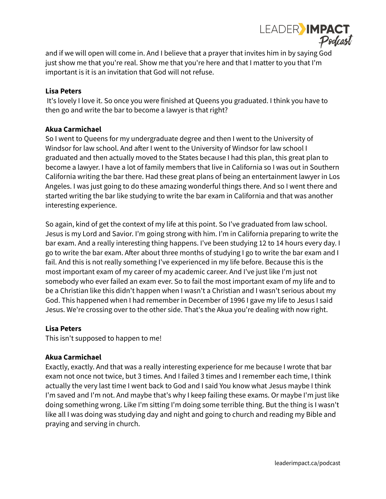

and if we will open will come in. And I believe that a prayer that invites him in by saying God just show me that you're real. Show me that you're here and that I matter to you that I'm important is it is an invitation that God will not refuse.

## **Lisa Peters**

It's lovely I love it. So once you were finished at Queens you graduated. I think you have to then go and write the bar to become a lawyer is that right?

### **Akua Carmichael**

So I went to Queens for my undergraduate degree and then I went to the University of Windsor for law school. And after I went to the University of Windsor for law school I graduated and then actually moved to the States because I had this plan, this great plan to become a lawyer. I have a lot of family members that live in California so I was out in Southern California writing the bar there. Had these great plans of being an entertainment lawyer in Los Angeles. I was just going to do these amazing wonderful things there. And so I went there and started writing the bar like studying to write the bar exam in California and that was another interesting experience.

So again, kind of get the context of my life at this point. So I've graduated from law school. Jesus is my Lord and Savior. I'm going strong with him. I'm in California preparing to write the bar exam. And a really interesting thing happens. I've been studying 12 to 14 hours every day. I go to write the bar exam. After about three months of studying I go to write the bar exam and I fail. And this is not really something I've experienced in my life before. Because this is the most important exam of my career of my academic career. And I've just like I'm just not somebody who ever failed an exam ever. So to fail the most important exam of my life and to be a Christian like this didn't happen when I wasn't a Christian and I wasn't serious about my God. This happened when I had remember in December of 1996 I gave my life to Jesus I said Jesus. We're crossing over to the other side. That's the Akua you're dealing with now right.

## **Lisa Peters**

This isn't supposed to happen to me!

## **Akua Carmichael**

Exactly, exactly. And that was a really interesting experience for me because I wrote that bar exam not once not twice, but 3 times. And I failed 3 times and I remember each time, I think actually the very last time I went back to God and I said You know what Jesus maybe I think I'm saved and I'm not. And maybe that's why I keep failing these exams. Or maybe I'm just like doing something wrong. Like I'm sitting I'm doing some terrible thing. But the thing is I wasn't like all I was doing was studying day and night and going to church and reading my Bible and praying and serving in church.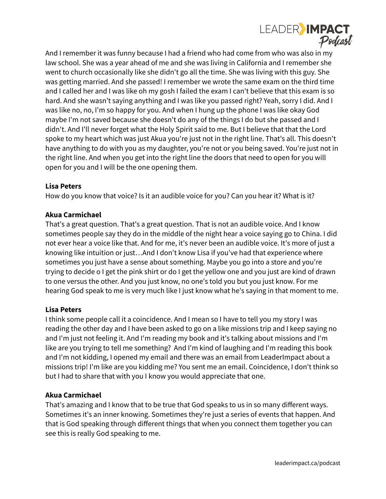

And I remember it was funny because I had a friend who had come from who was also in my law school. She was a year ahead of me and she was living in California and I remember she went to church occasionally like she didn't go all the time. She was living with this guy. She was getting married. And she passed! I remember we wrote the same exam on the third time and I called her and I was like oh my gosh I failed the exam I can't believe that this exam is so hard. And she wasn't saying anything and I was like you passed right? Yeah, sorry I did. And I was like no, no, I'm so happy for you. And when I hung up the phone I was like okay God maybe I'm not saved because she doesn't do any of the things I do but she passed and I didn't. And I'll never forget what the Holy Spirit said to me. But I believe that that the Lord spoke to my heart which was just Akua you're just not in the right line. That's all. This doesn't have anything to do with you as my daughter, you're not or you being saved. You're just not in the right line. And when you get into the right line the doors that need to open for you will open for you and I will be the one opening them.

### **Lisa Peters**

How do you know that voice? Is it an audible voice for you? Can you hear it? What is it?

### **Akua Carmichael**

That's a great question. That's a great question. That is not an audible voice. And I know sometimes people say they do in the middle of the night hear a voice saying go to China. I did not ever hear a voice like that. And for me, it's never been an audible voice. It's more of just a knowing like intuition or just…And I don't know Lisa if you've had that experience where sometimes you just have a sense about something. Maybe you go into a store and you're trying to decide o I get the pink shirt or do I get the yellow one and you just are kind of drawn to one versus the other. And you just know, no one's told you but you just know. For me hearing God speak to me is very much like I just know what he's saying in that moment to me.

## **Lisa Peters**

I think some people call it a coincidence. And I mean so I have to tell you my story I was reading the other day and I have been asked to go on a like missions trip and I keep saying no and I'm just not feeling it. And I'm reading my book and it's talking about missions and I'm like are you trying to tell me something? And I'm kind of laughing and I'm reading this book and I'm not kidding, I opened my email and there was an email from LeaderImpact about a missions trip! I'm like are you kidding me? You sent me an email. Coincidence, I don't think so but I had to share that with you I know you would appreciate that one.

## **Akua Carmichael**

That's amazing and I know that to be true that God speaks to us in so many different ways. Sometimes it's an inner knowing. Sometimes they're just a series of events that happen. And that is God speaking through different things that when you connect them together you can see this is really God speaking to me.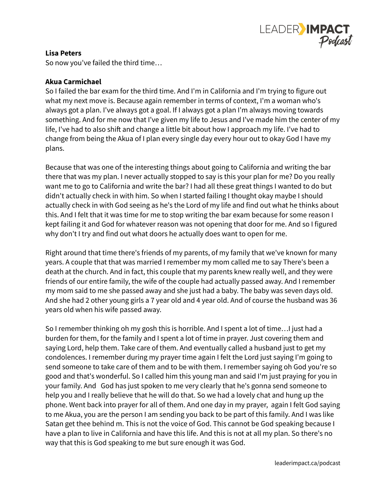

## **Lisa Peters**

So now you've failed the third time…

## **Akua Carmichael**

So I failed the bar exam for the third time. And I'm in California and I'm trying to figure out what my next move is. Because again remember in terms of context, I'm a woman who's always got a plan. I've always got a goal. If I always got a plan I'm always moving towards something. And for me now that I've given my life to Jesus and I've made him the center of my life, I've had to also shift and change a little bit about how I approach my life. I've had to change from being the Akua of I plan every single day every hour out to okay God I have my plans.

Because that was one of the interesting things about going to California and writing the bar there that was my plan. I never actually stopped to say is this your plan for me? Do you really want me to go to California and write the bar? I had all these great things I wanted to do but didn't actually check in with him. So when I started failing I thought okay maybe I should actually check in with God seeing as he's the Lord of my life and find out what he thinks about this. And I felt that it was time for me to stop writing the bar exam because for some reason I kept failing it and God for whatever reason was not opening that door for me. And so I figured why don't I try and find out what doors he actually does want to open for me.

Right around that time there's friends of my parents, of my family that we've known for many years. A couple that that was married I remember my mom called me to say There's been a death at the church. And in fact, this couple that my parents knew really well, and they were friends of our entire family, the wife of the couple had actually passed away. And I remember my mom said to me she passed away and she just had a baby. The baby was seven days old. And she had 2 other young girls a 7 year old and 4 year old. And of course the husband was 36 years old when his wife passed away.

So I remember thinking oh my gosh this is horrible. And I spent a lot of time…I just had a burden for them, for the family and I spent a lot of time in prayer. Just covering them and saying Lord, help them. Take care of them. And eventually called a husband just to get my condolences. I remember during my prayer time again I felt the Lord just saying I'm going to send someone to take care of them and to be with them. I remember saying oh God you're so good and that's wonderful. So I called him this young man and said I'm just praying for you in your family. And God has just spoken to me very clearly that he's gonna send someone to help you and I really believe that he will do that. So we had a lovely chat and hung up the phone. Went back into prayer for all of them. And one day in my prayer, again I felt God saying to me Akua, you are the person I am sending you back to be part of this family. And I was like Satan get thee behind m. This is not the voice of God. This cannot be God speaking because I have a plan to live in California and have this life. And this is not at all my plan. So there's no way that this is God speaking to me but sure enough it was God.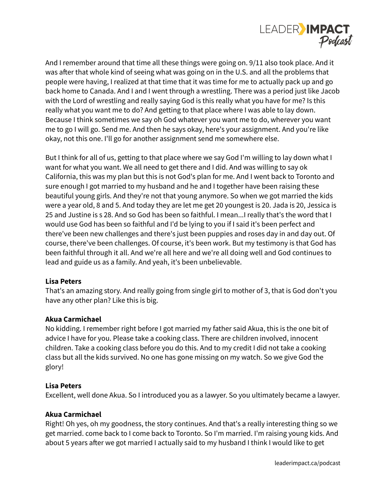

And I remember around that time all these things were going on. 9/11 also took place. And it was after that whole kind of seeing what was going on in the U.S. and all the problems that people were having, I realized at that time that it was time for me to actually pack up and go back home to Canada. And I and I went through a wrestling. There was a period just like Jacob with the Lord of wrestling and really saying God is this really what you have for me? Is this really what you want me to do? And getting to that place where I was able to lay down. Because I think sometimes we say oh God whatever you want me to do, wherever you want me to go I will go. Send me. And then he says okay, here's your assignment. And you're like okay, not this one. I'll go for another assignment send me somewhere else.

But I think for all of us, getting to that place where we say God I'm willing to lay down what I want for what you want. We all need to get there and I did. And was willing to say ok California, this was my plan but this is not God's plan for me. And I went back to Toronto and sure enough I got married to my husband and he and I together have been raising these beautiful young girls. And they're not that young anymore. So when we got married the kids were a year old, 8 and 5. And today they are let me get 20 youngest is 20. Jada is 20, Jessica is 25 and Justine is s 28. And so God has been so faithful. I mean...I really that's the word that I would use God has been so faithful and I'd be lying to you if I said it's been perfect and there've been new challenges and there's just been puppies and roses day in and day out. Of course, there've been challenges. Of course, it's been work. But my testimony is that God has been faithful through it all. And we're all here and we're all doing well and God continues to lead and guide us as a family. And yeah, it's been unbelievable.

## **Lisa Peters**

That's an amazing story. And really going from single girl to mother of 3, that is God don't you have any other plan? Like this is big.

## **Akua Carmichael**

No kidding. I remember right before I got married my father said Akua, this is the one bit of advice I have for you. Please take a cooking class. There are children involved, innocent children. Take a cooking class before you do this. And to my credit I did not take a cooking class but all the kids survived. No one has gone missing on my watch. So we give God the glory!

#### **Lisa Peters**

Excellent, well done Akua. So I introduced you as a lawyer. So you ultimately became a lawyer.

#### **Akua Carmichael**

Right! Oh yes, oh my goodness, the story continues. And that's a really interesting thing so we get married. come back to I come back to Toronto. So I'm married. I'm raising young kids. And about 5 years after we got married I actually said to my husband I think I would like to get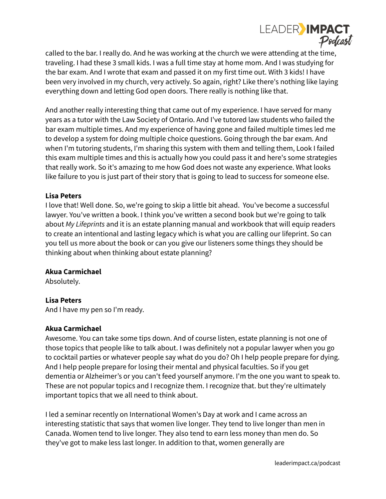

called to the bar. I really do. And he was working at the church we were attending at the time, traveling. I had these 3 small kids. I was a full time stay at home mom. And I was studying for the bar exam. And I wrote that exam and passed it on my first time out. With 3 kids! I have been very involved in my church, very actively. So again, right? Like there's nothing like laying everything down and letting God open doors. There really is nothing like that.

And another really interesting thing that came out of my experience. I have served for many years as a tutor with the Law Society of Ontario. And I've tutored law students who failed the bar exam multiple times. And my experience of having gone and failed multiple times led me to develop a system for doing multiple choice questions. Going through the bar exam. And when I'm tutoring students, I'm sharing this system with them and telling them, Look I failed this exam multiple times and this is actually how you could pass it and here's some strategies that really work. So it's amazing to me how God does not waste any experience. What looks like failure to you is just part of their story that is going to lead to success for someone else.

#### **Lisa Peters**

I love that! Well done. So, we're going to skip a little bit ahead. You've become a successful lawyer. You've written a book. I think you've written a second book but we're going to talk about *My Lifeprints* and it is an estate planning manual and workbook that will equip readers to create an intentional and lasting legacy which is what you are calling our lifeprint. So can you tell us more about the book or can you give our listeners some things they should be thinking about when thinking about estate planning?

#### **Akua Carmichael**

Absolutely.

## **Lisa Peters**

And I have my pen so I'm ready.

#### **Akua Carmichael**

Awesome. You can take some tips down. And of course listen, estate planning is not one of those topics that people like to talk about. I was definitely not a popular lawyer when you go to cocktail parties or whatever people say what do you do? Oh I help people prepare for dying. And I help people prepare for losing their mental and physical faculties. So if you get dementia or Alzheimer's or you can't feed yourself anymore. I'm the one you want to speak to. These are not popular topics and I recognize them. I recognize that. but they're ultimately important topics that we all need to think about.

I led a seminar recently on International Women's Day at work and I came across an interesting statistic that says that women live longer. They tend to live longer than men in Canada. Women tend to live longer. They also tend to earn less money than men do. So they've got to make less last longer. In addition to that, women generally are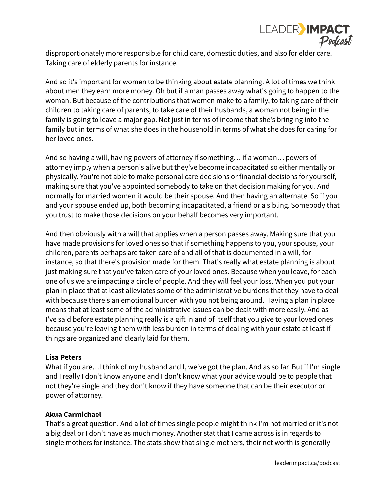

disproportionately more responsible for child care, domestic duties, and also for elder care. Taking care of elderly parents for instance.

And so it's important for women to be thinking about estate planning. A lot of times we think about men they earn more money. Oh but if a man passes away what's going to happen to the woman. But because of the contributions that women make to a family, to taking care of their children to taking care of parents, to take care of their husbands, a woman not being in the family is going to leave a major gap. Not just in terms of income that she's bringing into the family but in terms of what she does in the household in terms of what she does for caring for her loved ones.

And so having a will, having powers of attorney if something… if a woman… powers of attorney imply when a person's alive but they've become incapacitated so either mentally or physically. You're not able to make personal care decisions or financial decisions for yourself, making sure that you've appointed somebody to take on that decision making for you. And normally for married women it would be their spouse. And then having an alternate. So if you and your spouse ended up, both becoming incapacitated, a friend or a sibling. Somebody that you trust to make those decisions on your behalf becomes very important.

And then obviously with a will that applies when a person passes away. Making sure that you have made provisions for loved ones so that if something happens to you, your spouse, your children, parents perhaps are taken care of and all of that is documented in a will, for instance, so that there's provision made for them. That's really what estate planning is about just making sure that you've taken care of your loved ones. Because when you leave, for each one of us we are impacting a circle of people. And they will feel your loss. When you put your plan in place that at least alleviates some of the administrative burdens that they have to deal with because there's an emotional burden with you not being around. Having a plan in place means that at least some of the administrative issues can be dealt with more easily. And as I've said before estate planning really is a gift in and of itself that you give to your loved ones because you're leaving them with less burden in terms of dealing with your estate at least if things are organized and clearly laid for them.

## **Lisa Peters**

What if you are…I think of my husband and I, we've got the plan. And as so far. But if I'm single and I really I don't know anyone and I don't know what your advice would be to people that not they're single and they don't know if they have someone that can be their executor or power of attorney.

## **Akua Carmichael**

That's a great question. And a lot of times single people might think I'm not married or it's not a big deal or I don't have as much money. Another stat that I came across is in regards to single mothers for instance. The stats show that single mothers, their net worth is generally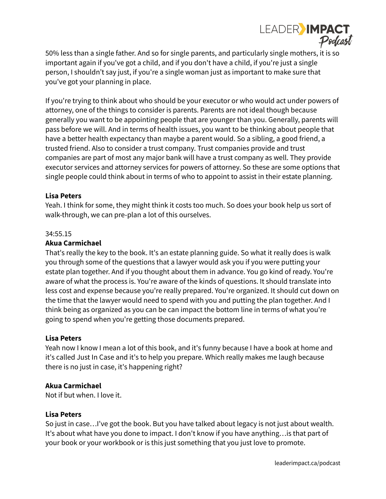

50% less than a single father. And so for single parents, and particularly single mothers, it is so important again if you've got a child, and if you don't have a child, if you're just a single person, I shouldn't say just, if you're a single woman just as important to make sure that you've got your planning in place.

If you're trying to think about who should be your executor or who would act under powers of attorney, one of the things to consider is parents. Parents are not ideal though because generally you want to be appointing people that are younger than you. Generally, parents will pass before we will. And in terms of health issues, you want to be thinking about people that have a better health expectancy than maybe a parent would. So a sibling, a good friend, a trusted friend. Also to consider a trust company. Trust companies provide and trust companies are part of most any major bank will have a trust company as well. They provide executor services and attorney services for powers of attorney. So these are some options that single people could think about in terms of who to appoint to assist in their estate planning.

### **Lisa Peters**

Yeah. I think for some, they might think it costs too much. So does your book help us sort of walk-through, we can pre-plan a lot of this ourselves.

#### 34:55.15

#### **Akua Carmichael**

That's really the key to the book. It's an estate planning guide. So what it really does is walk you through some of the questions that a lawyer would ask you if you were putting your estate plan together. And if you thought about them in advance. You go kind of ready. You're aware of what the process is. You're aware of the kinds of questions. It should translate into less cost and expense because you're really prepared. You're organized. It should cut down on the time that the lawyer would need to spend with you and putting the plan together. And I think being as organized as you can be can impact the bottom line in terms of what you're going to spend when you're getting those documents prepared.

#### **Lisa Peters**

Yeah now I know I mean a lot of this book, and it's funny because I have a book at home and it's called Just In Case and it's to help you prepare. Which really makes me laugh because there is no just in case, it's happening right?

## **Akua Carmichael**

Not if but when. I love it.

#### **Lisa Peters**

So just in case…I've got the book. But you have talked about legacy is not just about wealth. It's about what have you done to impact. I don't know if you have anything…is that part of your book or your workbook or is this just something that you just love to promote.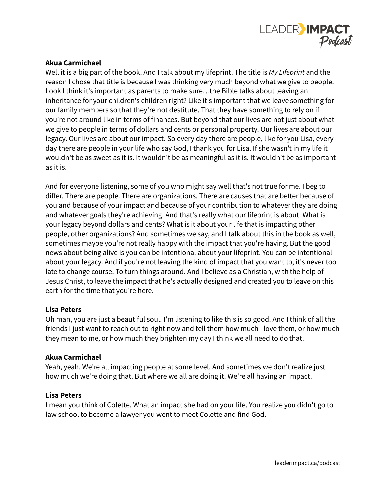

Well it is a big part of the book. And I talk about my lifeprint. The title is *My Lifeprint* and the reason I chose that title is because I was thinking very much beyond what we give to people. Look I think it's important as parents to make sure…the Bible talks about leaving an inheritance for your children's children right? Like it's important that we leave something for our family members so that they're not destitute. That they have something to rely on if you're not around like in terms of finances. But beyond that our lives are not just about what we give to people in terms of dollars and cents or personal property. Our lives are about our legacy. Our lives are about our impact. So every day there are people, like for you Lisa, every day there are people in your life who say God, I thank you for Lisa. If she wasn't in my life it wouldn't be as sweet as it is. It wouldn't be as meaningful as it is. It wouldn't be as important as it is.

And for everyone listening, some of you who might say well that's not true for me. I beg to differ. There are people. There are organizations. There are causes that are better because of you and because of your impact and because of your contribution to whatever they are doing and whatever goals they're achieving. And that's really what our lifeprint is about. What is your legacy beyond dollars and cents? What is it about your life that is impacting other people, other organizations? And sometimes we say, and I talk about this in the book as well, sometimes maybe you're not really happy with the impact that you're having. But the good news about being alive is you can be intentional about your lifeprint. You can be intentional about your legacy. And if you're not leaving the kind of impact that you want to, it's never too late to change course. To turn things around. And I believe as a Christian, with the help of Jesus Christ, to leave the impact that he's actually designed and created you to leave on this earth for the time that you're here.

#### **Lisa Peters**

Oh man, you are just a beautiful soul. I'm listening to like this is so good. And I think of all the friends I just want to reach out to right now and tell them how much I love them, or how much they mean to me, or how much they brighten my day I think we all need to do that.

#### **Akua Carmichael**

Yeah, yeah. We're all impacting people at some level. And sometimes we don't realize just how much we're doing that. But where we all are doing it. We're all having an impact.

#### **Lisa Peters**

I mean you think of Colette. What an impact she had on your life. You realize you didn't go to law school to become a lawyer you went to meet Colette and find God.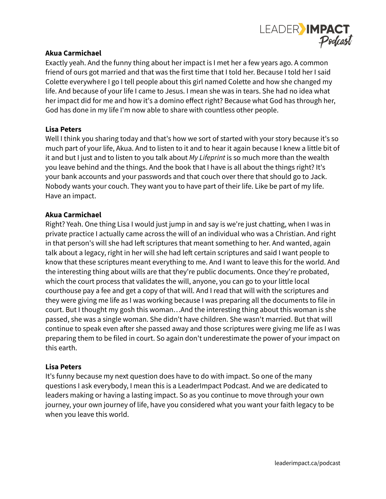

Exactly yeah. And the funny thing about her impact is I met her a few years ago. A common friend of ours got married and that was the first time that I told her. Because I told her I said Colette everywhere I go I tell people about this girl named Colette and how she changed my life. And because of your life I came to Jesus. I mean she was in tears. She had no idea what her impact did for me and how it's a domino effect right? Because what God has through her, God has done in my life I'm now able to share with countless other people.

#### **Lisa Peters**

Well I think you sharing today and that's how we sort of started with your story because it's so much part of your life, Akua. And to listen to it and to hear it again because I knew a little bit of it and but I just and to listen to you talk about *My Lifeprint* is so much more than the wealth you leave behind and the things. And the book that I have is all about the things right? It's your bank accounts and your passwords and that couch over there that should go to Jack. Nobody wants your couch. They want you to have part of their life. Like be part of my life. Have an impact.

#### **Akua Carmichael**

Right? Yeah. One thing Lisa I would just jump in and say is we're just chatting, when I was in private practice I actually came across the will of an individual who was a Christian. And right in that person's will she had left scriptures that meant something to her. And wanted, again talk about a legacy, right in her will she had left certain scriptures and said I want people to know that these scriptures meant everything to me. And I want to leave this for the world. And the interesting thing about wills are that they're public documents. Once they're probated, which the court process that validates the will, anyone, you can go to your little local courthouse pay a fee and get a copy of that will. And I read that will with the scriptures and they were giving me life as I was working because I was preparing all the documents to file in court. But I thought my gosh this woman…And the interesting thing about this woman is she passed, she was a single woman. She didn't have children. She wasn't married. But that will continue to speak even after she passed away and those scriptures were giving me life as I was preparing them to be filed in court. So again don't underestimate the power of your impact on this earth.

## **Lisa Peters**

It's funny because my next question does have to do with impact. So one of the many questions I ask everybody, I mean this is a LeaderImpact Podcast. And we are dedicated to leaders making or having a lasting impact. So as you continue to move through your own journey, your own journey of life, have you considered what you want your faith legacy to be when you leave this world.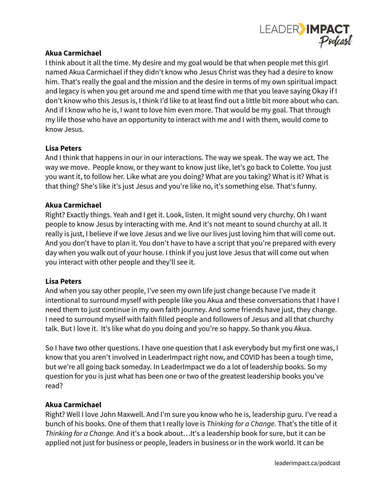

I think about it all the time. My desire and my goal would be that when people met this girl named Akua Carmichael if they didn't know who Jesus Christ was they had a desire to know him. That's really the goal and the mission and the desire in terms of my own spiritual impact and legacy is when you get around me and spend time with me that you leave saying Okay if I don't know who this Jesus is, I think I'd like to at least find out a little bit more about who can. And if I know who he is, I want to love him even more. That would be my goal. That through my life those who have an opportunity to interact with me and I with them, would come to know Jesus.

### **Lisa Peters**

And I think that happens in our in our interactions. The way we speak. The way we act. The way we move. People know, or they want to know just like, let's go back to Colette. You just you want it, to follow her. Like what are you doing? What are you taking? What is it? What is that thing? She's like it's just Jesus and you're like no, it's something else. That's funny.

### **Akua Carmichael**

Right? Exactly things. Yeah and I get it. Look, listen. It might sound very churchy. Oh I want people to know Jesus by interacting with me. And it's not meant to sound churchy at all. It really is just, I believe if we love Jesus and we live our lives just loving him that will come out. And you don't have to plan it. You don't have to have a script that you're prepared with every day when you walk out of your house. I think if you just love Jesus that will come out when you interact with other people and they'll see it.

#### **Lisa Peters**

And when you say other people, I've seen my own life just change because I've made it intentional to surround myself with people like you Akua and these conversations that I have I need them to just continue in my own faith journey. And some friends have just, they change. I need to surround myself with faith filled people and followers of Jesus and all that churchy talk. But I love it. It's like what do you doing and you're so happy. So thank you Akua.

So I have two other questions. I have one question that I ask everybody but my first one was, I know that you aren't involved in LeaderImpact right now, and COVID has been a tough time, but we're all going back someday. In LeaderImpact we do a lot of leadership books. So my question for you is just what has been one or two of the greatest leadership books you've read?

## **Akua Carmichael**

Right? Well I love John Maxwell. And I'm sure you know who he is, leadership guru. I've read a bunch of his books. One of them that I really love is *Thinking for a Change.* That's the title of it *Thinking for a Change.* And it's a book about…It's a leadership book for sure, but it can be applied not just for business or people, leaders in business or in the work world. It can be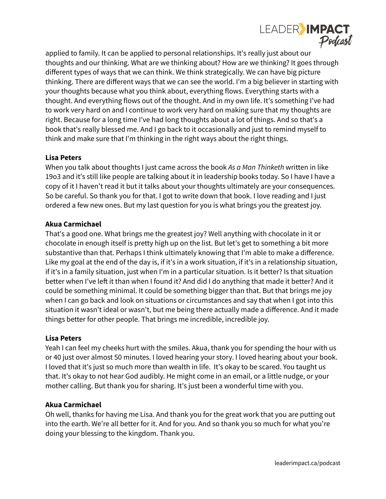

applied to family. It can be applied to personal relationships. It's really just about our thoughts and our thinking. What are we thinking about? How are we thinking? It goes through different types of ways that we can think. We think strategically. We can have big picture thinking. There are different ways that we can see the world. I'm a big believer in starting with your thoughts because what you think about, everything flows. Everything starts with a thought. And everything flows out of the thought. And in my own life. It's something I've had to work very hard on and I continue to work very hard on making sure that my thoughts are right. Because for a long time I've had long thoughts about a lot of things. And so that's a book that's really blessed me. And I go back to it occasionally and just to remind myself to think and make sure that I'm thinking in the right ways about the right things.

### **Lisa Peters**

When you talk about thoughts I just came across the book *As a Man Thinketh* written in like 19o3 and it's still like people are talking about it in leadership books today. So I have I have a copy of it I haven't read it but it talks about your thoughts ultimately are your consequences. So be careful. So thank you for that. I got to write down that book. I love reading and I just ordered a few new ones. But my last question for you is what brings you the greatest joy.

#### **Akua Carmichael**

That's a good one. What brings me the greatest joy? Well anything with chocolate in it or chocolate in enough itself is pretty high up on the list. But let's get to something a bit more substantive than that. Perhaps I think ultimately knowing that I'm able to make a difference. Like my goal at the end of the day is, if it's in a work situation, if it's in a relationship situation, if it's in a family situation, just when I'm in a particular situation. Is it better? Is that situation better when I've left it than when I found it? And did I do anything that made it better? And it could be something minimal. It could be something bigger than that. But that brings me joy when I can go back and look on situations or circumstances and say that when I got into this situation it wasn't ideal or wasn't, but me being there actually made a difference. And it made things better for other people. That brings me incredible, incredible joy.

#### **Lisa Peters**

Yeah I can feel my cheeks hurt with the smiles. Akua, thank you for spending the hour with us or 40 just over almost 50 minutes. I loved hearing your story. I loved hearing about your book. I loved that it's just so much more than wealth in life. It's okay to be scared. You taught us that. It's okay to not hear God audibly. He might come in an email, or a little nudge, or your mother calling. But thank you for sharing. It's just been a wonderful time with you.

#### **Akua Carmichael**

Oh well, thanks for having me Lisa. And thank you for the great work that you are putting out into the earth. We're all better for it. And for you. And so thank you so much for what you're doing your blessing to the kingdom. Thank you.